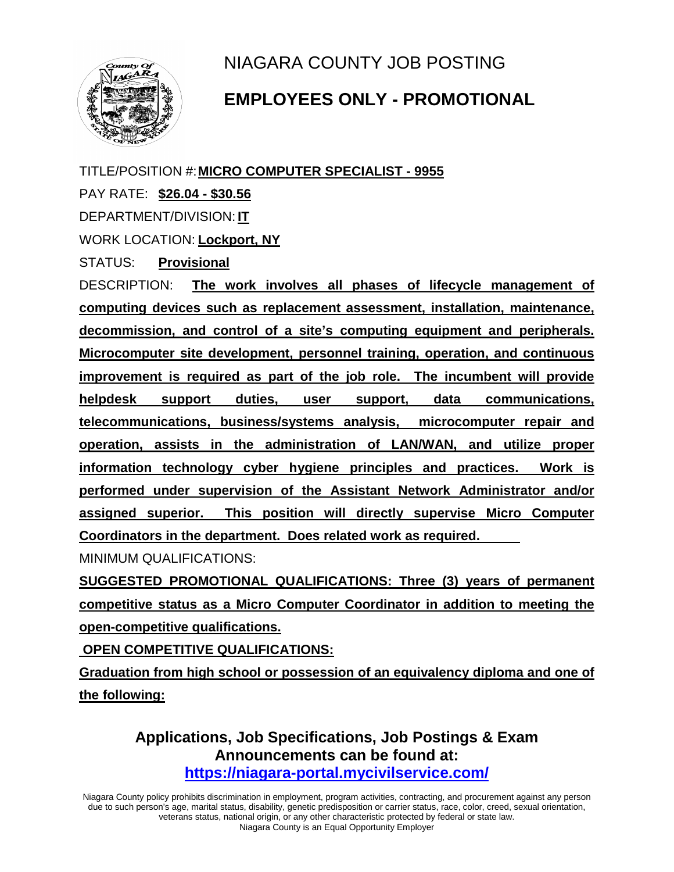NIAGARA COUNTY JOB POSTING



## **EMPLOYEES ONLY - PROMOTIONAL**

TITLE/POSITION #:**MICRO COMPUTER SPECIALIST - 9955**

PAY RATE: **\$26.04 - \$30.56**

DEPARTMENT/DIVISION: **IT**

WORK LOCATION: **Lockport, NY**

STATUS: **Provisional**

DESCRIPTION: **The work involves all phases of lifecycle management of computing devices such as replacement assessment, installation, maintenance, decommission, and control of a site's computing equipment and peripherals. Microcomputer site development, personnel training, operation, and continuous improvement is required as part of the job role. The incumbent will provide helpdesk support duties, user support, data communications, telecommunications, business/systems analysis, microcomputer repair and operation, assists in the administration of LAN/WAN, and utilize proper information technology cyber hygiene principles and practices. Work is performed under supervision of the Assistant Network Administrator and/or assigned superior. This position will directly supervise Micro Computer Coordinators in the department. Does related work as required.** 

MINIMUM QUALIFICATIONS:

**SUGGESTED PROMOTIONAL QUALIFICATIONS: Three (3) years of permanent competitive status as a Micro Computer Coordinator in addition to meeting the open-competitive qualifications.** 

**OPEN COMPETITIVE QUALIFICATIONS:** 

**Graduation from high school or possession of an equivalency diploma and one of the following:**

> **Applications, Job Specifications, Job Postings & Exam Announcements can be found at: <https://niagara-portal.mycivilservice.com/>**

Niagara County policy prohibits discrimination in employment, program activities, contracting, and procurement against any person due to such person's age, marital status, disability, genetic predisposition or carrier status, race, color, creed, sexual orientation, veterans status, national origin, or any other characteristic protected by federal or state law. Niagara County is an Equal Opportunity Employer